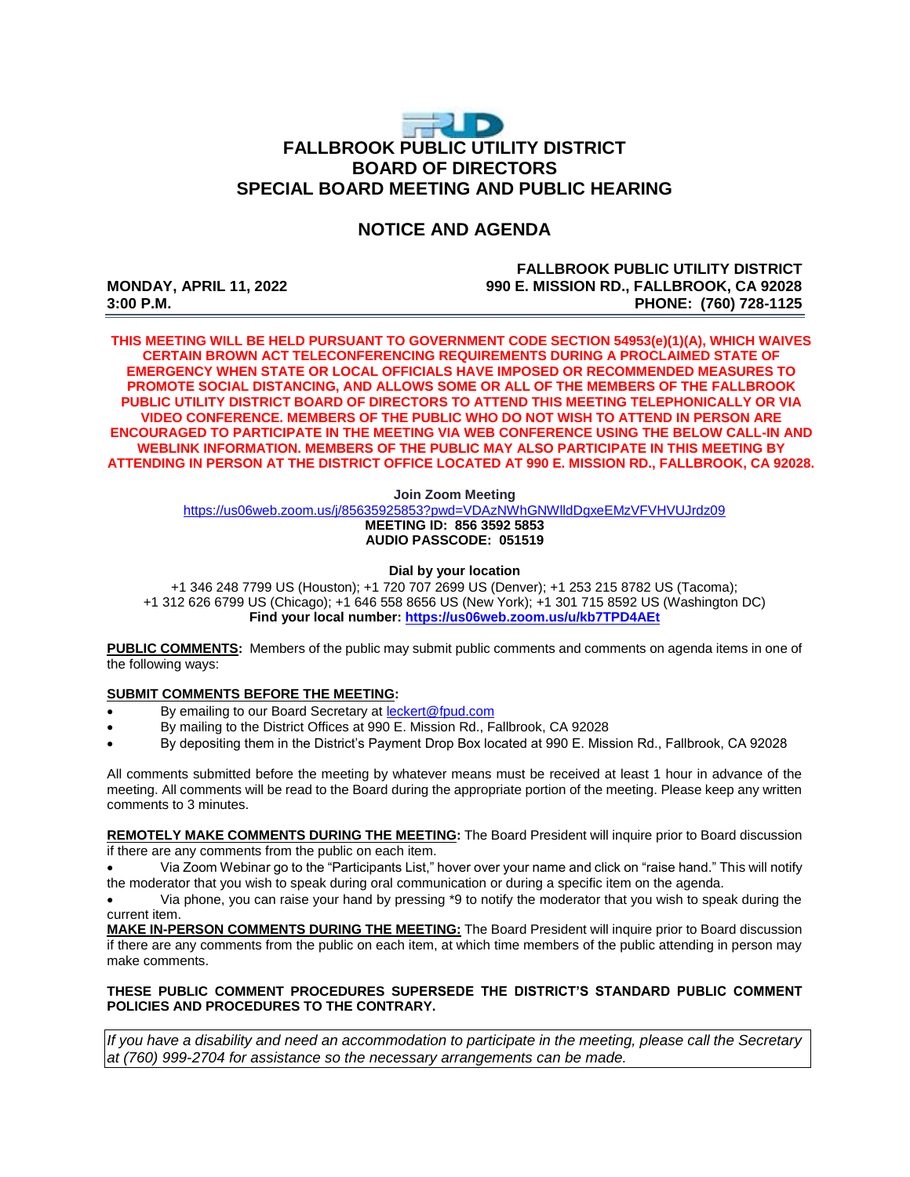# **FALLBROOK PUBLIC UTILITY DISTRICT BOARD OF DIRECTORS SPECIAL BOARD MEETING AND PUBLIC HEARING**

## **NOTICE AND AGENDA**

#### **FALLBROOK PUBLIC UTILITY DISTRICT MONDAY, APRIL 11, 2022 990 E. MISSION RD., FALLBROOK, CA 92028 3:00 P.M. PHONE: (760) 728-1125**

**THIS MEETING WILL BE HELD PURSUANT TO GOVERNMENT CODE SECTION 54953(e)(1)(A), WHICH WAIVES CERTAIN BROWN ACT TELECONFERENCING REQUIREMENTS DURING A PROCLAIMED STATE OF EMERGENCY WHEN STATE OR LOCAL OFFICIALS HAVE IMPOSED OR RECOMMENDED MEASURES TO PROMOTE SOCIAL DISTANCING, AND ALLOWS SOME OR ALL OF THE MEMBERS OF THE FALLBROOK PUBLIC UTILITY DISTRICT BOARD OF DIRECTORS TO ATTEND THIS MEETING TELEPHONICALLY OR VIA VIDEO CONFERENCE. MEMBERS OF THE PUBLIC WHO DO NOT WISH TO ATTEND IN PERSON ARE ENCOURAGED TO PARTICIPATE IN THE MEETING VIA WEB CONFERENCE USING THE BELOW CALL-IN AND WEBLINK INFORMATION. MEMBERS OF THE PUBLIC MAY ALSO PARTICIPATE IN THIS MEETING BY ATTENDING IN PERSON AT THE DISTRICT OFFICE LOCATED AT 990 E. MISSION RD., FALLBROOK, CA 92028.**

**Join Zoom Meeting**

https://us06web.zoom.us/i/85635925853?pwd=VDAzNWhGNWlldDgxeEMzVFVHVUJrdz09 **MEETING ID: 856 3592 5853 AUDIO PASSCODE: 051519**

**Dial by your location**

+1 346 248 7799 US (Houston); +1 720 707 2699 US (Denver); +1 253 215 8782 US (Tacoma); +1 312 626 6799 US (Chicago); +1 646 558 8656 US (New York); +1 301 715 8592 US (Washington DC) **Find your local number[: https://us06web.zoom.us/u/kb7TPD4AEt](https://us06web.zoom.us/u/kb7TPD4AEt)**

**PUBLIC COMMENTS:** Members of the public may submit public comments and comments on agenda items in one of the following ways:

#### **SUBMIT COMMENTS BEFORE THE MEETING:**

- By emailing to our Board Secretary at [leckert@fpud.com](mailto:leckert@fpud.com)
- By mailing to the District Offices at 990 E. Mission Rd., Fallbrook, CA 92028
- By depositing them in the District's Payment Drop Box located at 990 E. Mission Rd., Fallbrook, CA 92028

All comments submitted before the meeting by whatever means must be received at least 1 hour in advance of the meeting. All comments will be read to the Board during the appropriate portion of the meeting. Please keep any written comments to 3 minutes.

**REMOTELY MAKE COMMENTS DURING THE MEETING:** The Board President will inquire prior to Board discussion if there are any comments from the public on each item.

 Via Zoom Webinar go to the "Participants List," hover over your name and click on "raise hand." This will notify the moderator that you wish to speak during oral communication or during a specific item on the agenda.

 Via phone, you can raise your hand by pressing \*9 to notify the moderator that you wish to speak during the current item.

**MAKE IN-PERSON COMMENTS DURING THE MEETING:** The Board President will inquire prior to Board discussion if there are any comments from the public on each item, at which time members of the public attending in person may make comments.

#### **THESE PUBLIC COMMENT PROCEDURES SUPERSEDE THE DISTRICT'S STANDARD PUBLIC COMMENT POLICIES AND PROCEDURES TO THE CONTRARY.**

*If you have a disability and need an accommodation to participate in the meeting, please call the Secretary at (760) 999-2704 for assistance so the necessary arrangements can be made.*